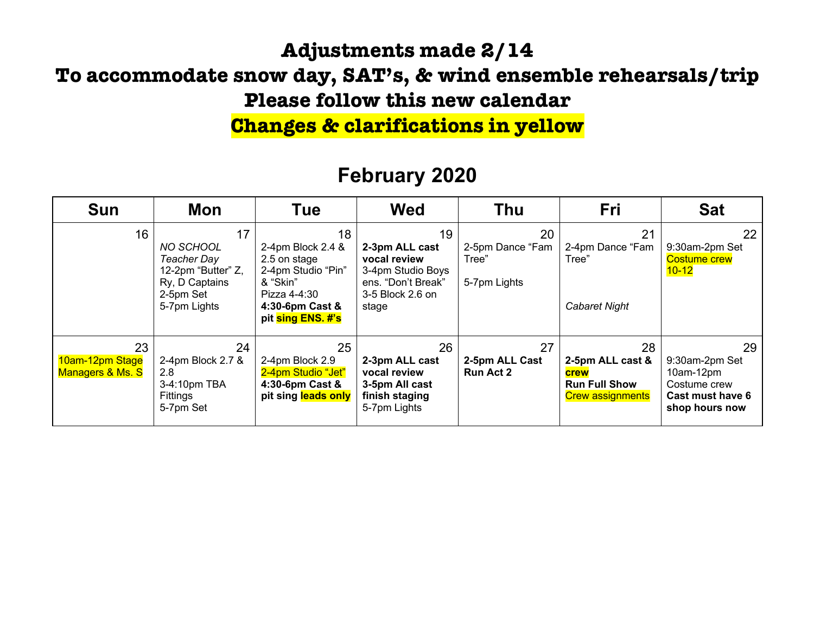### **Adjustments made 2/14**

### **To accommodate snow day, SAT's, & wind ensemble rehearsals/trip Please follow this new calendar**

## **Changes & clarifications in yellow**

| <b>Sun</b>                                | Mon                                                                                                        | Tue                                                                                                                               | <b>Wed</b>                                                                                                   | Thu                                             | Fri                                                                                      | <b>Sat</b>                                                                                |
|-------------------------------------------|------------------------------------------------------------------------------------------------------------|-----------------------------------------------------------------------------------------------------------------------------------|--------------------------------------------------------------------------------------------------------------|-------------------------------------------------|------------------------------------------------------------------------------------------|-------------------------------------------------------------------------------------------|
| 16                                        | 17<br><b>NO SCHOOL</b><br>Teacher Day<br>12-2pm "Butter" Z,<br>Ry, D Captains<br>2-5pm Set<br>5-7pm Lights | 18<br>2-4pm Block 2.4 &<br>2.5 on stage<br>2-4pm Studio "Pin"<br>& "Skin"<br>Pizza 4-4:30<br>4:30-6pm Cast &<br>pit sing ENS. #'s | 19<br>2-3pm ALL cast<br>vocal review<br>3-4pm Studio Boys<br>ens. "Don't Break"<br>3-5 Block 2.6 on<br>stage | 20<br>2-5pm Dance "Fam<br>Tree"<br>5-7pm Lights | 21<br>2-4pm Dance "Fam<br>Tree"<br>Cabaret Night                                         | 22<br>9:30am-2pm Set<br><b>Costume crew</b><br>$10 - 12$                                  |
| 23<br>10am-12pm Stage<br>Managers & Ms. S | 24<br>2-4pm Block 2.7 &<br>2.8<br>3-4:10pm TBA<br>Fittings<br>5-7pm Set                                    | 25<br>2-4pm Block 2.9<br>2-4pm Studio "Jet"<br>4:30-6pm Cast &<br>pit sing leads only                                             | 26<br>2-3pm ALL cast<br>vocal review<br>3-5pm All cast<br>finish staging<br>5-7pm Lights                     | 27<br>2-5pm ALL Cast<br><b>Run Act 2</b>        | 28<br>2-5pm ALL cast &<br><b>crew</b><br><b>Run Full Show</b><br><b>Crew assignments</b> | 29<br>9:30am-2pm Set<br>$10am-12pm$<br>Costume crew<br>Cast must have 6<br>shop hours now |

## **February 2020**